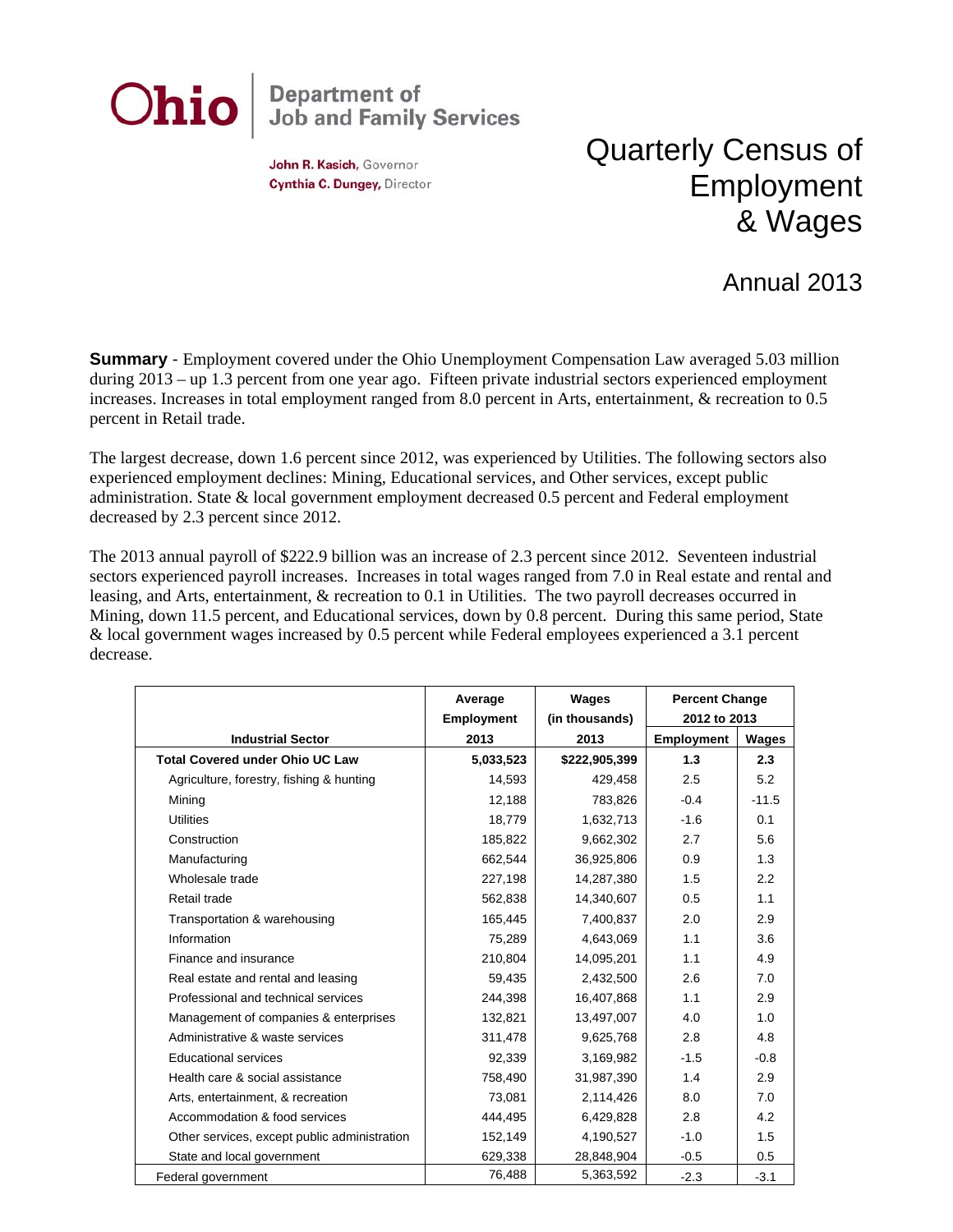

John R. Kasich, Governor Cynthia C. Dungey, Director

## Quarterly Census of Employment & Wages

## Annual 2013

**Summary** - Employment covered under the Ohio Unemployment Compensation Law averaged 5.03 million during 2013 – up 1.3 percent from one year ago. Fifteen private industrial sectors experienced employment increases. Increases in total employment ranged from 8.0 percent in Arts, entertainment, & recreation to 0.5 percent in Retail trade.

The largest decrease, down 1.6 percent since 2012, was experienced by Utilities. The following sectors also experienced employment declines: Mining, Educational services, and Other services, except public administration. State & local government employment decreased 0.5 percent and Federal employment decreased by 2.3 percent since 2012.

The 2013 annual payroll of \$222.9 billion was an increase of 2.3 percent since 2012. Seventeen industrial sectors experienced payroll increases. Increases in total wages ranged from 7.0 in Real estate and rental and leasing, and Arts, entertainment, & recreation to 0.1 in Utilities. The two payroll decreases occurred in Mining, down 11.5 percent, and Educational services, down by 0.8 percent. During this same period, State & local government wages increased by 0.5 percent while Federal employees experienced a 3.1 percent decrease.

|                                              | Average                   | Wages                  | <b>Percent Change</b><br>2012 to 2013 |         |
|----------------------------------------------|---------------------------|------------------------|---------------------------------------|---------|
| <b>Industrial Sector</b>                     | <b>Employment</b><br>2013 | (in thousands)<br>2013 | <b>Employment</b>                     | Wages   |
| <b>Total Covered under Ohio UC Law</b>       | 5,033,523                 | \$222,905,399          | 1.3                                   | 2.3     |
| Agriculture, forestry, fishing & hunting     | 14,593                    | 429,458                | 2.5                                   | 5.2     |
| Mining                                       | 12,188                    | 783,826                | $-0.4$                                | $-11.5$ |
| <b>Utilities</b>                             | 18,779                    | 1,632,713              | $-1.6$                                | 0.1     |
| Construction                                 | 185,822                   | 9,662,302              | 2.7                                   | 5.6     |
| Manufacturing                                | 662,544                   | 36,925,806             | 0.9                                   | 1.3     |
| Wholesale trade                              | 227,198                   | 14,287,380             | 1.5                                   | 2.2     |
| Retail trade                                 | 562,838                   | 14,340,607             | 0.5                                   | 1.1     |
| Transportation & warehousing                 | 165,445                   | 7,400,837              | 2.0                                   | 2.9     |
| Information                                  | 75,289                    | 4,643,069              | 1.1                                   | 3.6     |
| Finance and insurance                        | 210,804                   | 14,095,201             | 1.1                                   | 4.9     |
| Real estate and rental and leasing           | 59,435                    | 2,432,500              | 2.6                                   | 7.0     |
| Professional and technical services          | 244,398                   | 16,407,868             | 1.1                                   | 2.9     |
| Management of companies & enterprises        | 132.821                   | 13,497,007             | 4.0                                   | 1.0     |
| Administrative & waste services              | 311,478                   | 9,625,768              | 2.8                                   | 4.8     |
| <b>Educational services</b>                  | 92,339                    | 3,169,982              | $-1.5$                                | $-0.8$  |
| Health care & social assistance              | 758,490                   | 31,987,390             | 1.4                                   | 2.9     |
| Arts, entertainment, & recreation            | 73,081                    | 2,114,426              | 8.0                                   | 7.0     |
| Accommodation & food services                | 444.495                   | 6,429,828              | 2.8                                   | 4.2     |
| Other services, except public administration | 152,149                   | 4,190,527              | $-1.0$                                | 1.5     |
| State and local government                   | 629,338                   | 28,848,904             | $-0.5$                                | 0.5     |
| Federal government                           | 76,488                    | 5,363,592              | $-2.3$                                | $-3.1$  |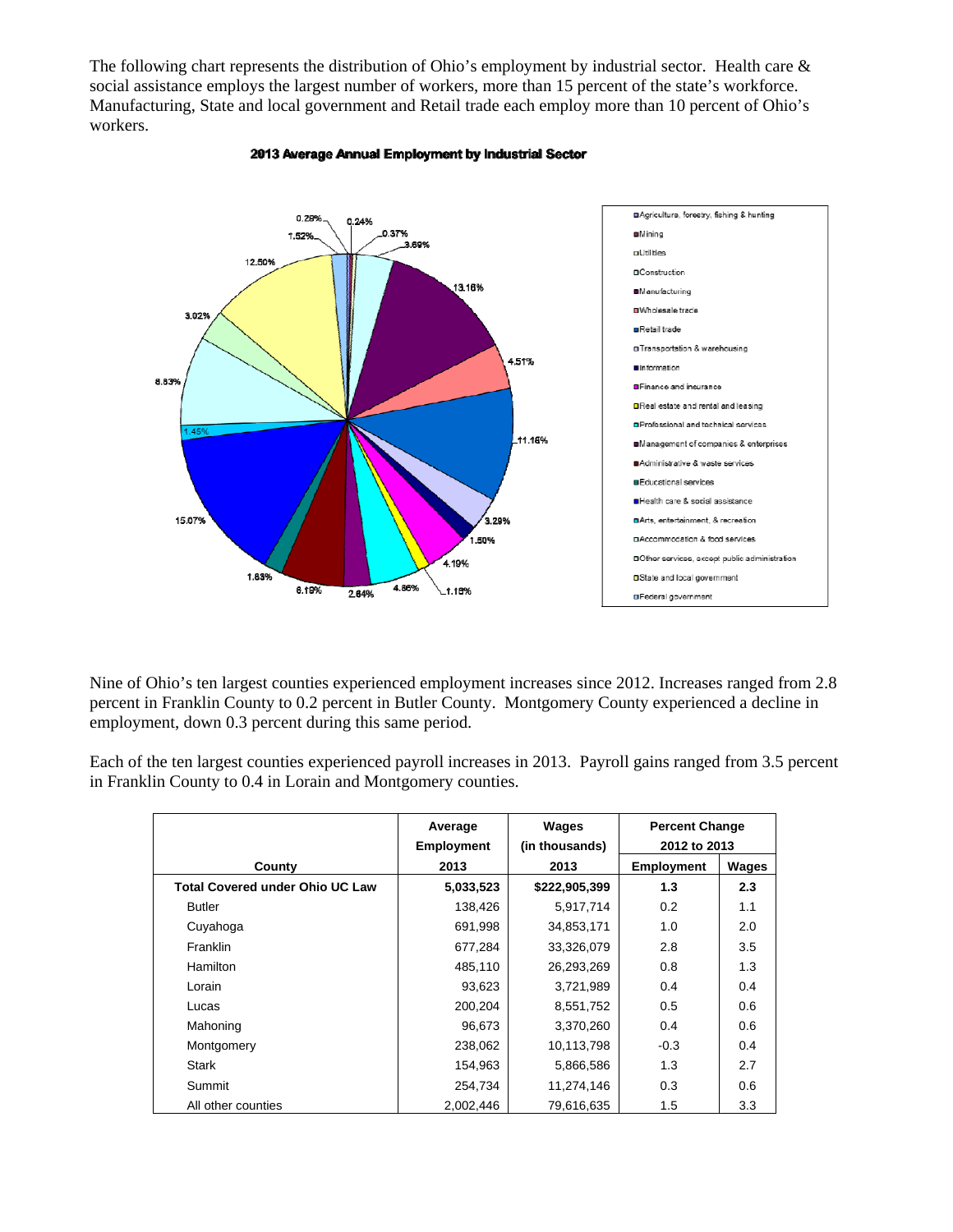The following chart represents the distribution of Ohio's employment by industrial sector. Health care & social assistance employs the largest number of workers, more than 15 percent of the state's workforce. Manufacturing, State and local government and Retail trade each employ more than 10 percent of Ohio's workers.



## 2013 Average Annual Employment by Industrial Sector

Nine of Ohio's ten largest counties experienced employment increases since 2012. Increases ranged from 2.8 percent in Franklin County to 0.2 percent in Butler County. Montgomery County experienced a decline in employment, down 0.3 percent during this same period.

Each of the ten largest counties experienced payroll increases in 2013. Payroll gains ranged from 3.5 percent in Franklin County to 0.4 in Lorain and Montgomery counties.

|                                        | Average<br><b>Employment</b> | Wages<br>(in thousands) | <b>Percent Change</b><br>2012 to 2013 |       |
|----------------------------------------|------------------------------|-------------------------|---------------------------------------|-------|
| County                                 | 2013                         | 2013                    | <b>Employment</b>                     | Wages |
| <b>Total Covered under Ohio UC Law</b> | 5,033,523                    | \$222,905,399           | 1.3                                   | 2.3   |
| <b>Butler</b>                          | 138,426                      | 5,917,714               | 0.2                                   | 1.1   |
| Cuyahoga                               | 691,998                      | 34,853,171              | 1.0                                   | 2.0   |
| <b>Franklin</b>                        | 677,284                      | 33,326,079              | 2.8                                   | 3.5   |
| Hamilton                               | 485,110                      | 26,293,269              | 0.8                                   | 1.3   |
| Lorain                                 | 93,623                       | 3,721,989               | 0.4                                   | 0.4   |
| Lucas                                  | 200,204                      | 8,551,752               | 0.5                                   | 0.6   |
| Mahoning                               | 96,673                       | 3,370,260               | 0.4                                   | 0.6   |
| Montgomery                             | 238,062                      | 10,113,798              | $-0.3$                                | 0.4   |
| <b>Stark</b>                           | 154,963                      | 5,866,586               | 1.3                                   | 2.7   |
| Summit                                 | 254,734                      | 11,274,146              | 0.3                                   | 0.6   |
| All other counties                     | 2,002,446                    | 79,616,635              | 1.5                                   | 3.3   |